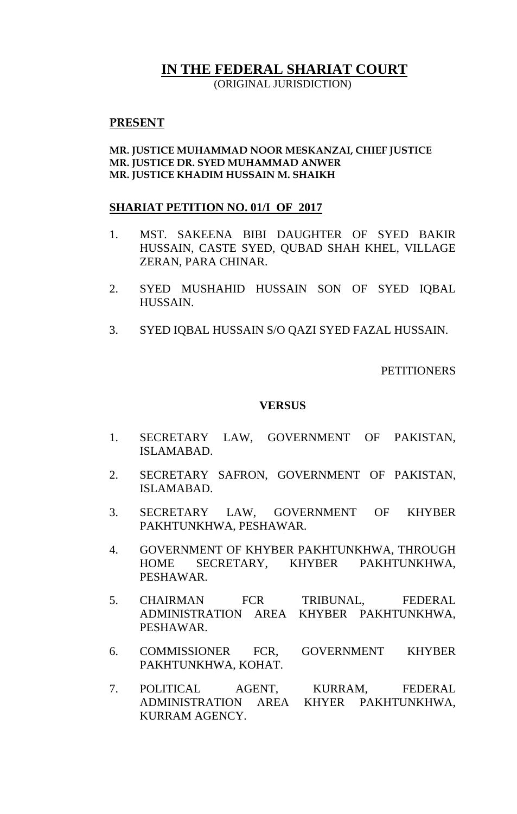# **IN THE FEDERAL SHARIAT COURT**

(ORIGINAL JURISDICTION)

## **PRESENT**

## **MR. JUSTICE MUHAMMAD NOOR MESKANZAI, CHIEF JUSTICE MR. JUSTICE DR. SYED MUHAMMAD ANWER MR. JUSTICE KHADIM HUSSAIN M. SHAIKH**

## **SHARIAT PETITION NO. 01/I OF 2017**

- 1. MST. SAKEENA BIBI DAUGHTER OF SYED BAKIR HUSSAIN, CASTE SYED, QUBAD SHAH KHEL, VILLAGE ZERAN, PARA CHINAR.
- 2. SYED MUSHAHID HUSSAIN SON OF SYED IQBAL HUSSAIN.
- 3. SYED IQBAL HUSSAIN S/O QAZI SYED FAZAL HUSSAIN.

**PETITIONERS** 

### **VERSUS**

- 1. SECRETARY LAW, GOVERNMENT OF PAKISTAN, ISLAMABAD.
- 2. SECRETARY SAFRON, GOVERNMENT OF PAKISTAN, ISLAMABAD.
- 3. SECRETARY LAW, GOVERNMENT OF KHYBER PAKHTUNKHWA, PESHAWAR.
- 4. GOVERNMENT OF KHYBER PAKHTUNKHWA, THROUGH HOME SECRETARY, KHYBER PAKHTUNKHWA, PESHAWAR.
- 5. CHAIRMAN FCR TRIBUNAL, FEDERAL ADMINISTRATION AREA KHYBER PAKHTUNKHWA, PESHAWAR.
- 6. COMMISSIONER FCR, GOVERNMENT KHYBER PAKHTUNKHWA, KOHAT.
- 7. POLITICAL AGENT, KURRAM, FEDERAL ADMINISTRATION AREA KHYER PAKHTUNKHWA, KURRAM AGENCY.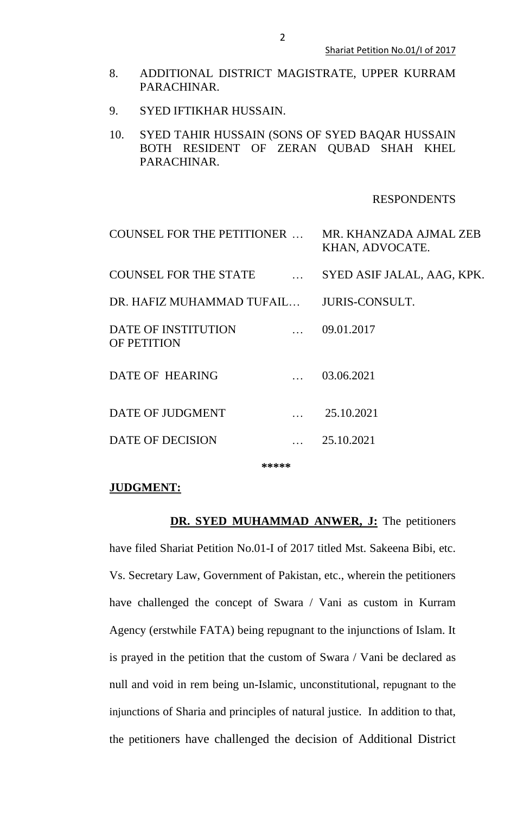- 8. ADDITIONAL DISTRICT MAGISTRATE, UPPER KURRAM PARACHINAR.
- 9. SYED IFTIKHAR HUSSAIN.
- 10. SYED TAHIR HUSSAIN (SONS OF SYED BAQAR HUSSAIN BOTH RESIDENT OF ZERAN QUBAD SHAH KHEL PARACHINAR.

## RESPONDENTS

| COUNSEL FOR THE PETITIONER                                                   | MR. KHANZADA AJMAL ZEB<br>KHAN, ADVOCATE. |
|------------------------------------------------------------------------------|-------------------------------------------|
| COUNSEL FOR THE STATE                                                        | SYED ASIF JALAL, AAG, KPK.                |
| DR. HAFIZ MUHAMMAD TUFAIL JURIS-CONSULT.                                     |                                           |
| DATE OF INSTITUTION<br>$\mathbf{r}$ . The set of $\mathbf{r}$<br>OF PETITION | 09.01.2017                                |
| DATE OF HEARING                                                              | 03.06.2021                                |
| DATE OF JUDGMENT                                                             | 25.10.2021                                |
| <b>DATE OF DECISION</b>                                                      | 25.10.2021                                |
|                                                                              |                                           |

**\*\*\*\*\***

#### **JUDGMENT:**

**DR. SYED MUHAMMAD ANWER, J:** The petitioners have filed Shariat Petition No.01-I of 2017 titled Mst. Sakeena Bibi, etc. Vs. Secretary Law, Government of Pakistan, etc., wherein the petitioners have challenged the concept of Swara / Vani as custom in Kurram Agency (erstwhile FATA) being repugnant to the injunctions of Islam. It is prayed in the petition that the custom of Swara / Vani be declared as null and void in rem being un-Islamic, unconstitutional, repugnant to the injunctions of Sharia and principles of natural justice. In addition to that, the petitioners have challenged the decision of Additional District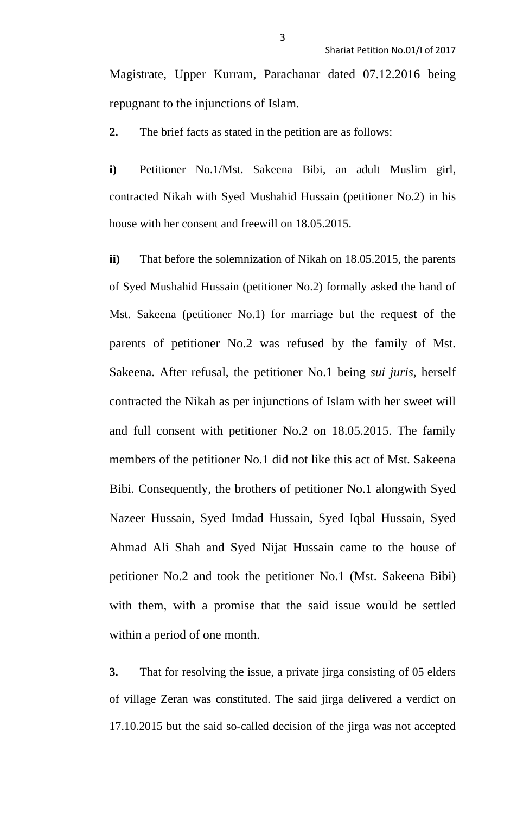Magistrate, Upper Kurram, Parachanar dated 07.12.2016 being repugnant to the injunctions of Islam.

**2.** The brief facts as stated in the petition are as follows:

**i)** Petitioner No.1/Mst. Sakeena Bibi, an adult Muslim girl, contracted Nikah with Syed Mushahid Hussain (petitioner No.2) in his house with her consent and freewill on 18.05.2015.

**ii)** That before the solemnization of Nikah on 18.05.2015, the parents of Syed Mushahid Hussain (petitioner No.2) formally asked the hand of Mst. Sakeena (petitioner No.1) for marriage but the request of the parents of petitioner No.2 was refused by the family of Mst. Sakeena. After refusal, the petitioner No.1 being *sui juris*, herself contracted the Nikah as per injunctions of Islam with her sweet will and full consent with petitioner No.2 on 18.05.2015. The family members of the petitioner No.1 did not like this act of Mst. Sakeena Bibi. Consequently, the brothers of petitioner No.1 alongwith Syed Nazeer Hussain, Syed Imdad Hussain, Syed Iqbal Hussain, Syed Ahmad Ali Shah and Syed Nijat Hussain came to the house of petitioner No.2 and took the petitioner No.1 (Mst. Sakeena Bibi) with them, with a promise that the said issue would be settled within a period of one month.

**3.** That for resolving the issue, a private jirga consisting of 05 elders of village Zeran was constituted. The said jirga delivered a verdict on 17.10.2015 but the said so-called decision of the jirga was not accepted

3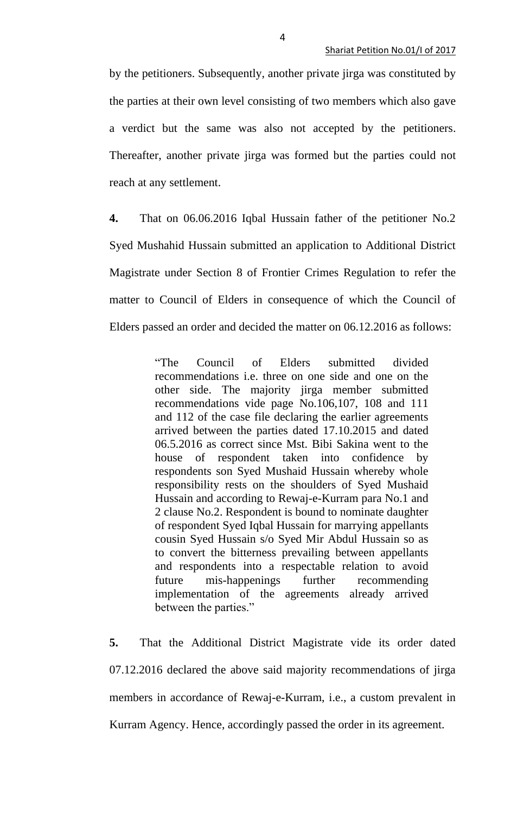by the petitioners. Subsequently, another private jirga was constituted by the parties at their own level consisting of two members which also gave a verdict but the same was also not accepted by the petitioners. Thereafter, another private jirga was formed but the parties could not reach at any settlement.

**4.** That on 06.06.2016 Iqbal Hussain father of the petitioner No.2 Syed Mushahid Hussain submitted an application to Additional District Magistrate under Section 8 of Frontier Crimes Regulation to refer the matter to Council of Elders in consequence of which the Council of Elders passed an order and decided the matter on 06.12.2016 as follows:

> "The Council of Elders submitted divided recommendations i.e. three on one side and one on the other side. The majority jirga member submitted recommendations vide page No.106,107, 108 and 111 and 112 of the case file declaring the earlier agreements arrived between the parties dated 17.10.2015 and dated 06.5.2016 as correct since Mst. Bibi Sakina went to the house of respondent taken into confidence by respondents son Syed Mushaid Hussain whereby whole responsibility rests on the shoulders of Syed Mushaid Hussain and according to Rewaj-e-Kurram para No.1 and 2 clause No.2. Respondent is bound to nominate daughter of respondent Syed Iqbal Hussain for marrying appellants cousin Syed Hussain s/o Syed Mir Abdul Hussain so as to convert the bitterness prevailing between appellants and respondents into a respectable relation to avoid future mis-happenings further recommending implementation of the agreements already arrived between the parties."

**5.** That the Additional District Magistrate vide its order dated 07.12.2016 declared the above said majority recommendations of jirga members in accordance of Rewaj-e-Kurram, i.e., a custom prevalent in Kurram Agency. Hence, accordingly passed the order in its agreement.

4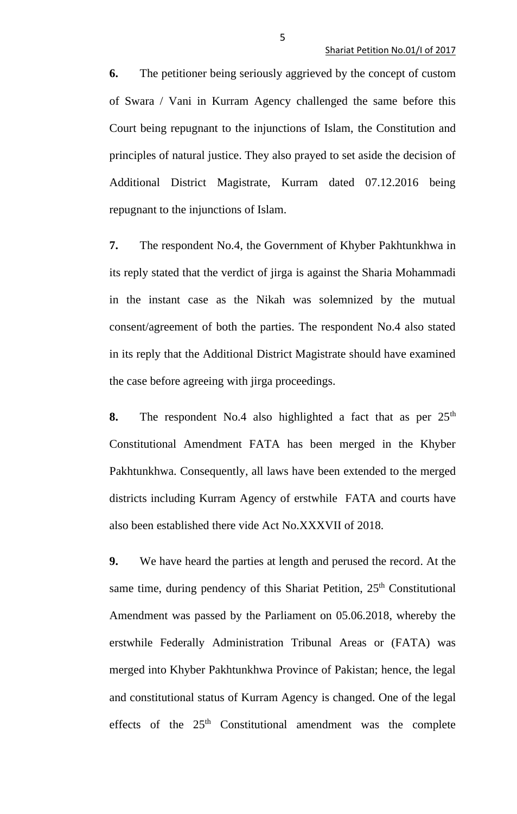**6.** The petitioner being seriously aggrieved by the concept of custom of Swara / Vani in Kurram Agency challenged the same before this Court being repugnant to the injunctions of Islam, the Constitution and principles of natural justice. They also prayed to set aside the decision of Additional District Magistrate, Kurram dated 07.12.2016 being repugnant to the injunctions of Islam.

**7.** The respondent No.4, the Government of Khyber Pakhtunkhwa in its reply stated that the verdict of jirga is against the Sharia Mohammadi in the instant case as the Nikah was solemnized by the mutual consent/agreement of both the parties. The respondent No.4 also stated in its reply that the Additional District Magistrate should have examined the case before agreeing with jirga proceedings.

**8.** The respondent No.4 also highlighted a fact that as per  $25<sup>th</sup>$ Constitutional Amendment FATA has been merged in the Khyber Pakhtunkhwa. Consequently, all laws have been extended to the merged districts including Kurram Agency of erstwhile FATA and courts have also been established there vide Act No.XXXVII of 2018.

**9.** We have heard the parties at length and perused the record. At the same time, during pendency of this Shariat Petition, 25<sup>th</sup> Constitutional Amendment was passed by the Parliament on 05.06.2018, whereby the erstwhile Federally Administration Tribunal Areas or (FATA) was merged into Khyber Pakhtunkhwa Province of Pakistan; hence, the legal and constitutional status of Kurram Agency is changed. One of the legal effects of the 25<sup>th</sup> Constitutional amendment was the complete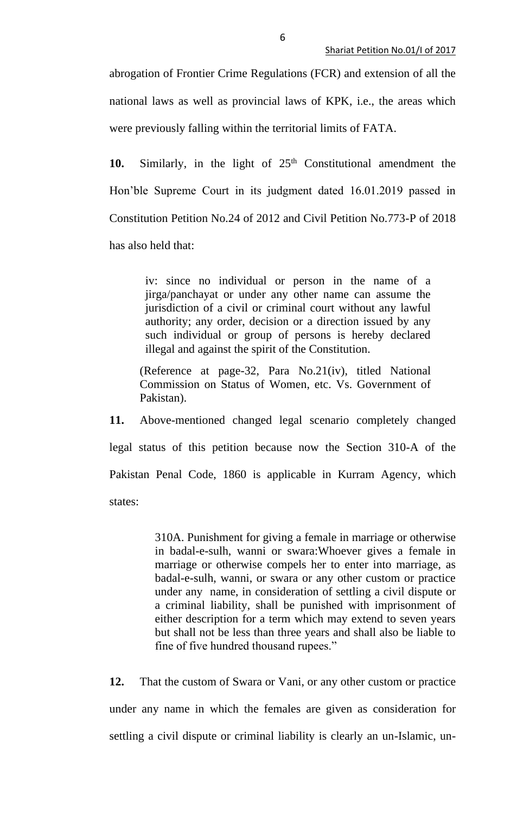abrogation of Frontier Crime Regulations (FCR) and extension of all the national laws as well as provincial laws of KPK, i.e., the areas which were previously falling within the territorial limits of FATA.

10. Similarly, in the light of  $25<sup>th</sup>$  Constitutional amendment the Hon'ble Supreme Court in its judgment dated 16.01.2019 passed in Constitution Petition No.24 of 2012 and Civil Petition No.773-P of 2018 has also held that:

> iv: since no individual or person in the name of a jirga/panchayat or under any other name can assume the jurisdiction of a civil or criminal court without any lawful authority; any order, decision or a direction issued by any such individual or group of persons is hereby declared illegal and against the spirit of the Constitution.

(Reference at page-32, Para No.21(iv), titled National Commission on Status of Women, etc. Vs. Government of Pakistan).

**11.** Above-mentioned changed legal scenario completely changed legal status of this petition because now the Section 310-A of the Pakistan Penal Code, 1860 is applicable in Kurram Agency, which states:

> 310A. Punishment for giving a female in marriage or otherwise in badal-e-sulh, wanni or swara:Whoever gives a female in marriage or otherwise compels her to enter into marriage, as badal-e-sulh, wanni, or swara or any other custom or practice under any name, in consideration of settling a civil dispute or a criminal liability, shall be punished with imprisonment of either description for a term which may extend to seven years but shall not be less than three years and shall also be liable to fine of five hundred thousand rupees."

**12.** That the custom of Swara or Vani, or any other custom or practice under any name in which the females are given as consideration for settling a civil dispute or criminal liability is clearly an un-Islamic, un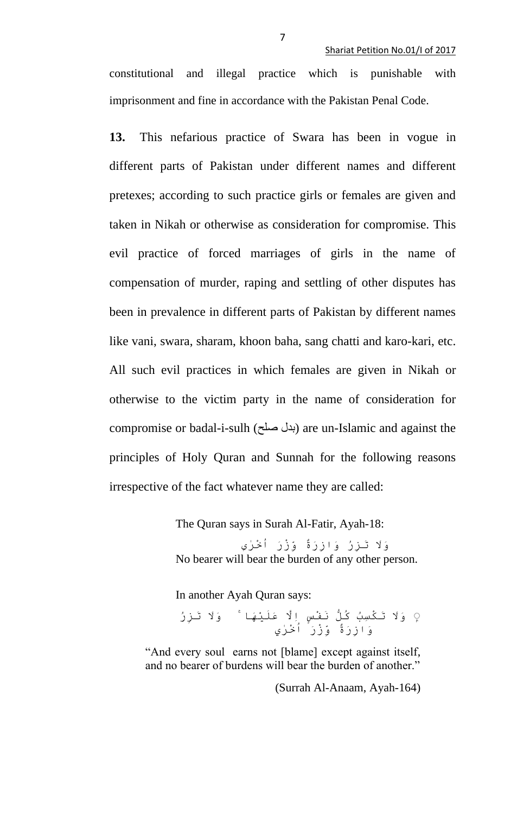constitutional and illegal practice which is punishable with imprisonment and fine in accordance with the Pakistan Penal Code.

**13.** This nefarious practice of Swara has been in vogue in different parts of Pakistan under different names and different pretexes; according to such practice girls or females are given and taken in Nikah or otherwise as consideration for compromise. This evil practice of forced marriages of girls in the name of compensation of murder, raping and settling of other disputes has been in prevalence in different parts of Pakistan by different names like vani, swara, sharam, khoon baha, sang chatti and karo-kari, etc. All such evil practices in which females are given in Nikah or otherwise to the victim party in the name of consideration for compromise or badal-i-sulh (بدل صلح) are un-Islamic and against the principles of Holy Quran and Sunnah for the following reasons irrespective of the fact whatever name they are called:

The Quran says in Surah Al-Fatir, Ayah-18:

وَََل َتزِرُ وَازِرَةٌ وِِّزْرَ اُخْرٰى No bearer will bear the burden of any other person.

In another Ayah Quran says:

 ۭ وَََل َتكْسِبُ كُلُّ َنفْسٍ اِاَل عََليَْهاۚ وَََل َتزِرُ وَازِرَةٌ وِِّزْرَ اُخْرٰي

"And every soul earns not [blame] except against itself, and no bearer of burdens will bear the burden of another."

(Surrah Al-Anaam, Ayah-164)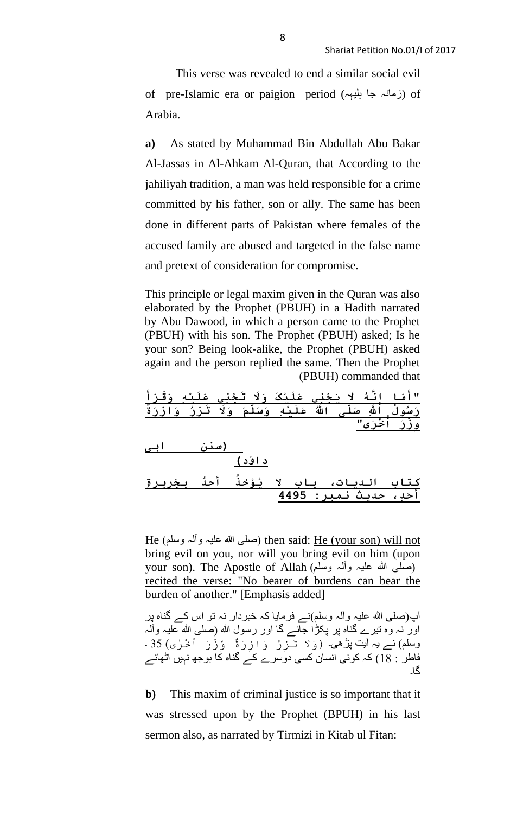This verse was revealed to end a similar social evil of pre-Islamic era or paigion period (زمانہ جا بلیہہ) of Arabia.

**a)** As stated by Muhammad Bin Abdullah Abu Bakar Al-Jassas in Al-Ahkam Al-Quran, that According to the jahiliyah tradition, a man was held responsible for a crime committed by his father, son or ally. The same has been done in different parts of Pakistan where females of the accused family are abused and targeted in the false name and pretext of consideration for compromise.

This principle or legal maxim given in the Quran was also elaborated by the Prophet (PBUH) in a Hadith narrated by Abu Dawood, in which a person came to the Prophet (PBUH) with his son. The Prophet (PBUH) asked; Is he your son? Being look-alike, the Prophet (PBUH) asked again and the person replied the same. Then the Prophet (PBUH) commanded that

| <u>"أَمَا إِنَّهُ لَا يَجْنِي عَلَيْكَ وَلَا تَجْنِي عَلَيْهِ وَقَرَأَ</u><br>رَسُولُ اللَّهِ صَلّى اللَّهُ عَلَيْهِ وَسَلّمَ وَلَا تَزِرُ وَازِرَةُ<br>وِزْرَ أَخْرَى" |  |  |  |  |
|-------------------------------------------------------------------------------------------------------------------------------------------------------------------------|--|--|--|--|
|                                                                                                                                                                         |  |  |  |  |
|                                                                                                                                                                         |  |  |  |  |
| (سنن ابی                                                                                                                                                                |  |  |  |  |

**داؤد( کتاب الديات، باب َل ُيؤخُذ أحٌد بجَرِيرةِ أحَد،ٍ حديث نمبر: 4495**

He (صلَّى الله عليہ وآلہ وسلَّم) then said: He (your son) will not bring evil on you, nor will you bring evil on him (upon your son). The Apostle of Allah (وسلم وآلہ وسلم) recited the verse: "No bearer of burdens can bear the burden of another." [Emphasis added]

آپ)صلی ہللا علیہ وآلہ وسلم(نے فرمایا کہ خبردار نہ تو اس کے گناہ پر اور نہ وہ تیرے گناہ پر پکڑا جائے گا اور رسول ہللا )صلی ہللا علیہ وآلہ وسلم) نے یہ آیت پڑھی۔ (وَلَا تَـَزِرُ وَازِرَةٌ وَزْرَ اَخْرٰى) 35 ۔ فاطر  $\overline{18}$  ) کہ کوئی انسان کسی دوسرے کے گناہ کا بوجھ نہیں اٹھائے گا۔

**b)** This maxim of criminal justice is so important that it was stressed upon by the Prophet (BPUH) in his last sermon also, as narrated by Tirmizi in Kitab ul Fitan: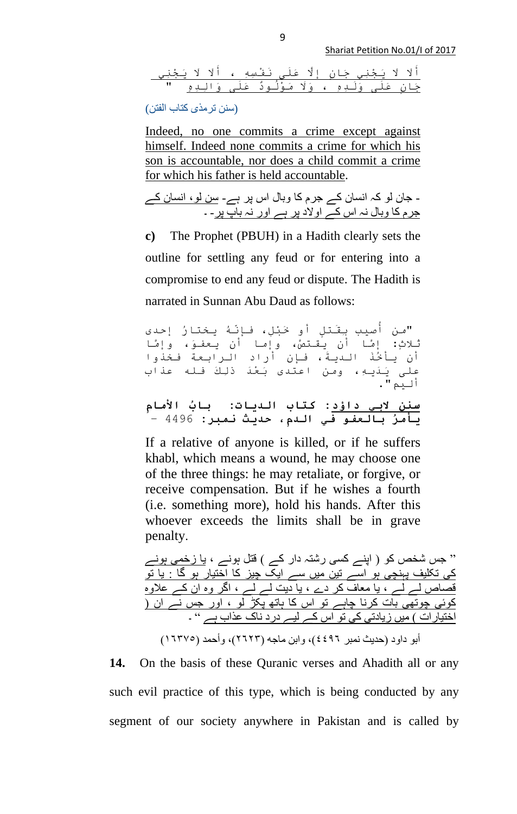أَََل ََل َيجْنِي جَانٍ إِاَل عََلى َنفْسِهِ ، أَََل ََل َيجْنِي جَانٍ عََلى وََلدِهِ ، وَََل َموُْلوٌد عََلى وَاِلدِهِ "

(سنن ترمذی کتاب الفتن)

Indeed, no one commits a crime except against himself. Indeed none commits a crime for which his son is accountable, nor does a child commit a crime for which his father is held accountable.

- جان لو کہ انسان کے جرم کا وبال اس پر ہے- سن لو، انسان کے جرم کا وبال نہ اس کے اوالد پر ہے اور نہ باپ پر- ۔

**c)** The Prophet (PBUH) in a Hadith clearly sets the outline for settling any feud or for entering into a compromise to end any feud or dispute. The Hadith is narrated in Sunnan Abu Daud as follows:

صيب بِقَتلٍ أو خَبْل،ِ فإِّنُه يختارُ إحدى "من أُ ثالث:ٍ إاما أن يقتصا، وإما أن يعفو،َ وإاما أن يأخَُذ الديَة، فإن أراد الرابعة فخذوا على َيَديه،ِ ومن اعتدى َبعَْد ذِلكَ فله عذاب أليم".

**سنن َلبي داؤد: کتاب الديات: بابُ األمامِ يأمرُ بالعفو في الدم،ِ حديث نمبر:** 4496 –

If a relative of anyone is killed, or if he suffers khabl, which means a wound, he may choose one of the three things: he may retaliate, or forgive, or receive compensation. But if he wishes a fourth (i.e. something more), hold his hands. After this whoever exceeds the limits shall be in grave penalty.

" جس شخص کو ) اپنے کسی رشتہ دار کے ( قتل ہونے ، یا زخمی ہونے کی تکلیف پہنچی ہو اسے تین میں سے ایک چیز کا اختیار ہو گا : یا تو قصاص لے لے ، یا معاف کر دے ، یا دیت لے لے ، اگر وہ ان کے عالوہ کوئی چوتھی بات کرنا چاہے تو اس کا ہاتھ پکڑ لو ، اور جس نے ان ) اختیارات ) میں زیادتی کی تو اس کے لیے درد ناک عذاب ہے " ۔

أبو داود (حدیث نمبر ٤٤٩٦)، وابن ماجه (٢٦٢٢)، وأحمد (١٦٣٧٥)

**14.** On the basis of these Quranic verses and Ahadith all or any such evil practice of this type, which is being conducted by any segment of our society anywhere in Pakistan and is called by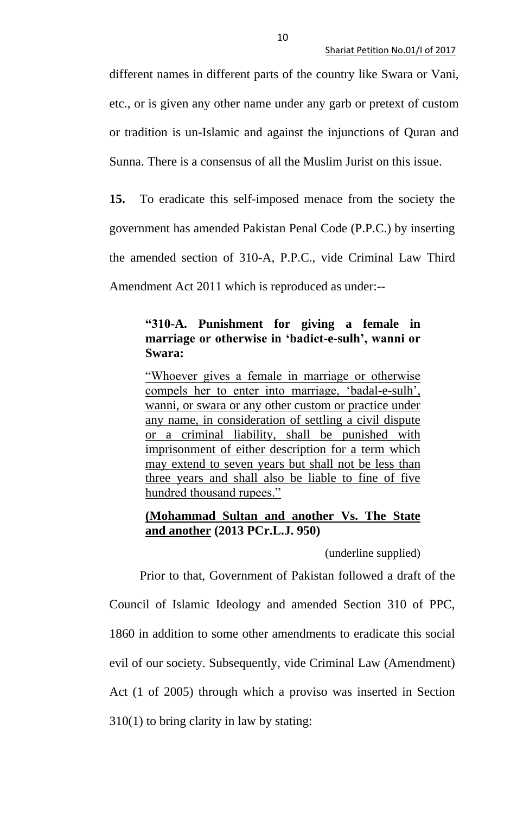different names in different parts of the country like Swara or Vani, etc., or is given any other name under any garb or pretext of custom or tradition is un-Islamic and against the injunctions of Quran and Sunna. There is a consensus of all the Muslim Jurist on this issue.

**15.** To eradicate this self-imposed menace from the society the government has amended Pakistan Penal Code (P.P.C.) by inserting the amended section of 310-A, P.P.C., vide Criminal Law Third Amendment Act 2011 which is reproduced as under:--

## **"310-A. Punishment for giving a female in marriage or otherwise in 'badict-e-sulh', wanni or Swara:**

"Whoever gives a female in marriage or otherwise compels her to enter into marriage, 'badal-e-sulh', wanni, or swara or any other custom or practice under any name, in consideration of settling a civil dispute or a criminal liability, shall be punished with imprisonment of either description for a term which may extend to seven years but shall not be less than three years and shall also be liable to fine of five hundred thousand rupees."

## **(Mohammad Sultan and another Vs. The State and another (2013 PCr.L.J. 950)**

(underline supplied)

Prior to that, Government of Pakistan followed a draft of the Council of Islamic Ideology and amended Section 310 of PPC, 1860 in addition to some other amendments to eradicate this social evil of our society. Subsequently, vide Criminal Law (Amendment) Act (1 of 2005) through which a proviso was inserted in Section 310(1) to bring clarity in law by stating: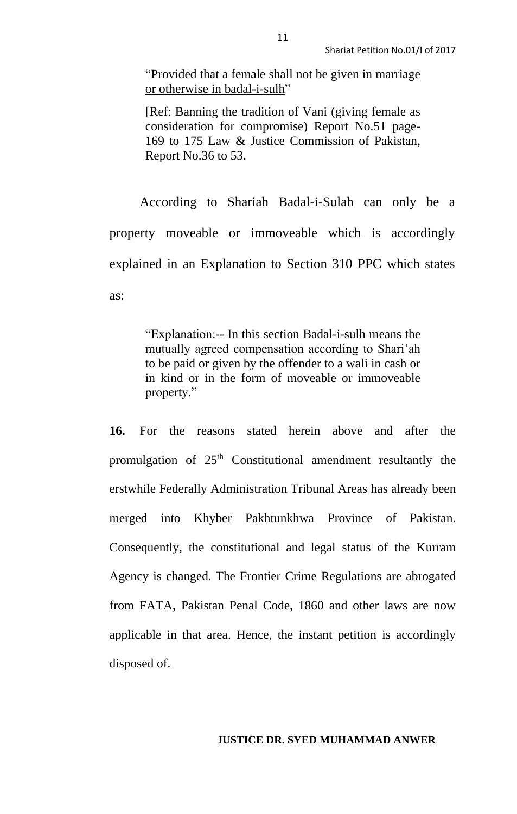"Provided that a female shall not be given in marriage or otherwise in badal-i-sulh"

[Ref: Banning the tradition of Vani (giving female as consideration for compromise) Report No.51 page-169 to 175 Law & Justice Commission of Pakistan, Report No.36 to 53.

According to Shariah Badal-i-Sulah can only be a property moveable or immoveable which is accordingly explained in an Explanation to Section 310 PPC which states as:

> "Explanation:-- In this section Badal-i-sulh means the mutually agreed compensation according to Shari'ah to be paid or given by the offender to a wali in cash or in kind or in the form of moveable or immoveable property."

**16.** For the reasons stated herein above and after the promulgation of  $25<sup>th</sup>$  Constitutional amendment resultantly the erstwhile Federally Administration Tribunal Areas has already been merged into Khyber Pakhtunkhwa Province of Pakistan. Consequently, the constitutional and legal status of the Kurram Agency is changed. The Frontier Crime Regulations are abrogated from FATA, Pakistan Penal Code, 1860 and other laws are now applicable in that area. Hence, the instant petition is accordingly disposed of.

## **JUSTICE DR. SYED MUHAMMAD ANWER**